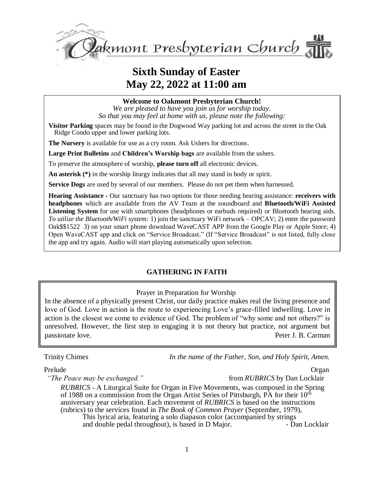

# **Sixth Sunday of Easter May 22, 2022 at 11:00 am**

**Welcome to Oakmont Presbyterian Church!**

*We are pleased to have you join us for worship today. So that you may feel at home with us, please note the following:*

**Visitor Parking** spaces may be found in the Dogwood Way parking lot and across the street in the Oak Ridge Condo upper and lower parking lots.

**The Nursery** is available for use as a cry room. Ask Ushers for directions.

**Large Print Bulletins** and **Children's Worship bags** are available from the ushers.

To preserve the atmosphere of worship, **please turn off** all electronic devices.

**An asterisk (\*)** in the worship liturgy indicates that all may stand in body or spirit.

**Service Dogs** are used by several of our members. Please do not pet them when harnessed.

**Hearing Assistance -** Our sanctuary has two options for those needing hearing assistance: **receivers with headphones** which are available from the AV Team at the soundboard and **Bluetooth/WiFi Assisted Listening System** for use with smartphones (headphones or earbuds required) or Bluetooth hearing aids. *To utilize the Bluetooth/WiFi system:* 1) join the sanctuary WiFi network – OPCAV; 2) enter the password Oak\$\$1522 3) on your smart phone download WaveCAST APP from the Google Play or Apple Store; 4) Open WaveCAST app and click on "Service Broadcast." (If "Service Broadcast" is not listed, fully close the app and try again. Audio will start playing automatically upon selection.

#### **GATHERING IN FAITH**

Prayer in Preparation for Worship

In the absence of a physically present Christ, our daily practice makes real the living presence and love of God. Love in action is the route to experiencing Love's grace-filled indwelling. Love in action is the closest we come to evidence of God. The problem of "why some and not others?" is unresolved. However, the first step in engaging it is not theory but practice, not argument but passionate love. Peter J. B. Carman

Trinity Chimes *In the name of the Father, Son, and Holy Spirit, Amen.*

#### Prelude Organ

*"The Peace may be exchanged."* from *RUBRICS* by Dan Locklair

*RUBRICS* - A Liturgical Suite for Organ in Five Movements, was composed in the Spring of 1988 on a commission from the Organ Artist Series of Pittsburgh, PA for their 10th anniversary year celebration. Each movement of *RUBRICS* is based on the instructions (rubrics) to the services found in *The Book of Common Prayer* (September, 1979), This lyrical aria, featuring a solo diapason color (accompanied by strings and double pedal throughout), is based in D Maior. - Dan Locklair and double pedal throughout), is based in  $D$  Major.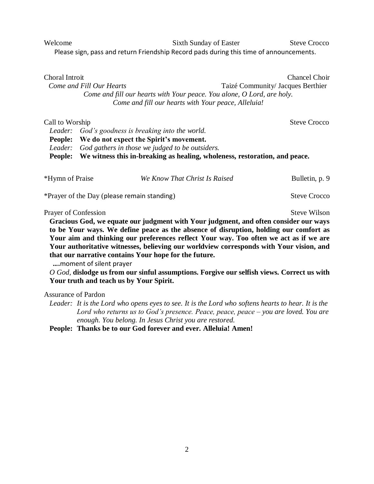Welcome Sixth Sunday of Easter Steve Crocco Please sign, pass and return Friendship Record pads during this time of announcements.

| Choral Introit                                                         | Chancel Choir                     |
|------------------------------------------------------------------------|-----------------------------------|
| Come and Fill Our Hearts                                               | Taizé Community/ Jacques Berthier |
| Come and fill our hearts with Your peace. You alone, O Lord, are holy. |                                   |
| Come and fill our hearts with Your peace, Alleluia!                    |                                   |
|                                                                        |                                   |

| Call to Worship |                                                                                    | <b>Steve Crocco</b> |
|-----------------|------------------------------------------------------------------------------------|---------------------|
|                 | Leader: God's goodness is breaking into the world.                                 |                     |
|                 | People: We do not expect the Spirit's movement.                                    |                     |
|                 | Leader: God gathers in those we judged to be outsiders.                            |                     |
|                 | People: We witness this in-breaking as healing, wholeness, restoration, and peace. |                     |

| *Hymn of Praise                             | We Know That Christ Is Raised | Bulletin, p. 9      |
|---------------------------------------------|-------------------------------|---------------------|
| *Prayer of the Day (please remain standing) |                               | <b>Steve Crocco</b> |

Prayer of Confession Steve Wilson

**Gracious God, we equate our judgment with Your judgment, and often consider our ways to be Your ways. We define peace as the absence of disruption, holding our comfort as Your aim and thinking our preferences reflect Your way. Too often we act as if we are Your authoritative witnesses, believing our worldview corresponds with Your vision, and that our narrative contains Your hope for the future.**

 **….**moment of silent prayer

*O God,* **dislodge us from our sinful assumptions. Forgive our selfish views. Correct us with Your truth and teach us by Your Spirit.**

Assurance of Pardon

*Leader: It is the Lord who opens eyes to see. It is the Lord who softens hearts to hear. It is the Lord who returns us to God's presence. Peace, peace, peace – you are loved. You are enough. You belong. In Jesus Christ you are restored.*

**People: Thanks be to our God forever and ever. Alleluia! Amen!**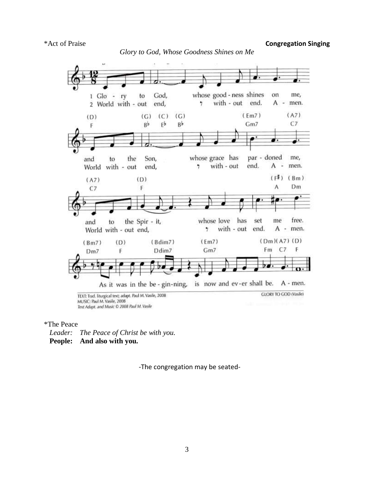\*Act of Praise **Congregation Singing**



\*The Peace *Leader: The Peace of Christ be with you.*

**People: And also with you.**

-The congregation may be seated-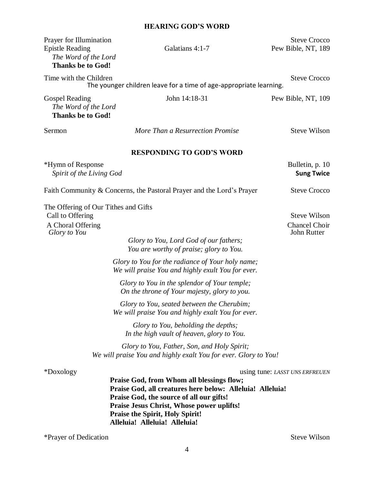### **HEARING GOD'S WORD**

| Prayer for Illumination<br><b>Epistle Reading</b><br>The Word of the Lord<br><b>Thanks be to God!</b> | Galatians 4:1-7                                                                                                                                                                                                                                                                   | <b>Steve Crocco</b><br>Pew Bible, NT, 189           |
|-------------------------------------------------------------------------------------------------------|-----------------------------------------------------------------------------------------------------------------------------------------------------------------------------------------------------------------------------------------------------------------------------------|-----------------------------------------------------|
| Time with the Children                                                                                | The younger children leave for a time of age-appropriate learning.                                                                                                                                                                                                                | <b>Steve Crocco</b>                                 |
| <b>Gospel Reading</b><br>The Word of the Lord<br><b>Thanks be to God!</b>                             | John 14:18-31                                                                                                                                                                                                                                                                     | Pew Bible, NT, 109                                  |
| Sermon                                                                                                | More Than a Resurrection Promise                                                                                                                                                                                                                                                  | <b>Steve Wilson</b>                                 |
|                                                                                                       | <b>RESPONDING TO GOD'S WORD</b>                                                                                                                                                                                                                                                   |                                                     |
| *Hymn of Response<br>Spirit of the Living God                                                         |                                                                                                                                                                                                                                                                                   | Bulletin, p. 10<br><b>Sung Twice</b>                |
|                                                                                                       | Faith Community & Concerns, the Pastoral Prayer and the Lord's Prayer                                                                                                                                                                                                             | <b>Steve Crocco</b>                                 |
| The Offering of Our Tithes and Gifts<br>Call to Offering<br>A Choral Offering<br>Glory to You         | Glory to You, Lord God of our fathers;<br>You are worthy of praise; glory to You.                                                                                                                                                                                                 | <b>Steve Wilson</b><br>Chancel Choir<br>John Rutter |
|                                                                                                       | Glory to You for the radiance of Your holy name;<br>We will praise You and highly exult You for ever.                                                                                                                                                                             |                                                     |
|                                                                                                       | Glory to You in the splendor of Your temple;<br>On the throne of Your majesty, glory to you.                                                                                                                                                                                      |                                                     |
|                                                                                                       | Glory to You, seated between the Cherubim;<br>We will praise You and highly exalt You for ever.                                                                                                                                                                                   |                                                     |
|                                                                                                       | Glory to You, beholding the depths;<br>In the high vault of heaven, glory to You.                                                                                                                                                                                                 |                                                     |
|                                                                                                       | Glory to You, Father, Son, and Holy Spirit;<br>We will praise You and highly exalt You for ever. Glory to You!                                                                                                                                                                    |                                                     |
| *Doxology                                                                                             | Praise God, from Whom all blessings flow;<br>Praise God, all creatures here below: Alleluia! Alleluia!<br>Praise God, the source of all our gifts!<br><b>Praise Jesus Christ, Whose power uplifts!</b><br><b>Praise the Spirit, Holy Spirit!</b><br>Alleluia! Alleluia! Alleluia! | using tune: LASST UNS ERFREUEN                      |

\*Prayer of Dedication Steve Wilson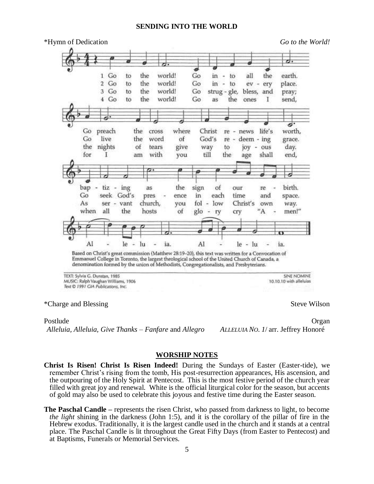#### **SENDING INTO THE WORLD**



Postlude **Organ** *Alleluia, Alleluia, Give Thanks* – *Fanfare* and *Allegro ALLELUIA NO. 1*/ arr. Jeffrey Honoré

#### **WORSHIP NOTES**

**Christ Is Risen! Christ Is Risen Indeed!** During the Sundays of Easter (Easter-tide), we remember Christ's rising from the tomb, His post-resurrection appearances, His ascension, and the outpouring of the Holy Spirit at Pentecost. This is the most festive period of the church year filled with great joy and renewal. White is the official liturgical color for the season, but accents of gold may also be used to celebrate this joyous and festive time during the Easter season.

**The Paschal Candle –** represents the risen Christ, who passed from darkness to light, to become *the light* shining in the darkness (John 1:5), and it is the corollary of the pillar of fire in the Hebrew exodus. Traditionally, it is the largest candle used in the church and it stands at a central place. The Paschal Candle is lit throughout the Great Fifty Days (from Easter to Pentecost) and at Baptisms, Funerals or Memorial Services.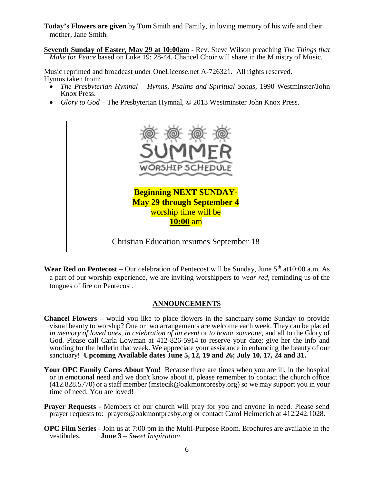**Today's Flowers are given** by Tom Smith and Family, in loving memory of his wife and their mother, Jane Smith.

**Seventh Sunday of Easter, May 29 at 10:00am -** Rev. Steve Wilson preaching *The Things that Make for Peace* based on Luke 19: 28-44. Chancel Choir will share in the Ministry of Music.

Music reprinted and broadcast under OneLicense.net A-726321. All rights reserved. Hymns taken from:

- *The Presbyterian Hymnal Hymns, Psalms and Spiritual Songs, 1990 Westminster/John* Knox Press.
- *Glory to God* The Presbyterian Hymnal, © 2013 Westminster John Knox Press.



**Wear Red on Pentecost** – Our celebration of Pentecost will be Sunday, June  $5<sup>th</sup>$  at 10:00 a.m. As a part of our worship experience, we are inviting worshippers to *wear red*, reminding us of the tongues of fire on Pentecost.

#### **ANNOUNCEMENTS**

- **Chancel Flowers –** would you like to place flowers in the sanctuary some Sunday to provide visual beauty to worship? One or two arrangements are welcome each week. They can be placed *in memory of loved ones*, *in celebration of an event* or *to honor someone*, and all to the Glory of God. Please call Carla Lowman at 412-826-5914 to reserve your date; give her the info and wording for the bulletin that week. We appreciate your assistance in enhancing the beauty of our sanctuary! **Upcoming Available dates June 5, 12, 19 and 26; July 10, 17, 24 and 31.**
- Your OPC Family Cares About You! Because there are times when you are ill, in the hospital or in emotional need and we don't know about it, please remember to contact the church office (412.828.5770) or a staff member [\(mstecik@oakmontpresby.org\)](mailto:mstecik@oakmontpresby.org) so we may support you in your time of need. You are loved!
- **Prayer Requests** Members of our church will pray for you and anyone in need. Please send prayer requests to: [prayers@oakmontpresby.org](mailto:prayers@oakmontpresby.org) or contact Carol Heimerich at 412.242.1028.
- **OPC Film Series -** Join us at 7:00 pm in the Multi-Purpose Room. Brochures are available in the vestibules. **June 3** *– Sweet Inspiration*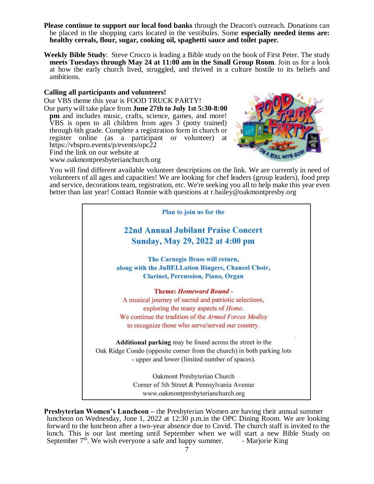- **Please continue to support our local food banks** through the Deacon's outreach. Donations can be placed in the shopping carts located in the vestibules. Some **especially needed items are: healthy cereals, flour, sugar, cooking oil, spaghetti sauce and toilet paper.**
- **Weekly Bible Study**: Steve Crocco is leading a Bible study on the book of First Peter. The study **meets Tuesdays through May 24 at 11:00 am in the Small Group Room**. Join us for a look at how the early church lived, struggled, and thrived in a culture hostile to its beliefs and ambitions.

#### **Calling all participants and volunteers!**

Our VBS theme this year is FOOD TRUCK PARTY! Our party will take place from **June 27th to July 1st 5:30-8:00 pm** and includes music, crafts, science, games, and more! VBS is open to all children from ages 3 (potty trained) through 6th grade. Complete a registration form in church or register online (as a participant or volunteer) at <https://vbspro.events/p/events/opc22> Find the link on our website at





You will find different available volunteer descriptions on the link. We are currently in need of volunteers of all ages and capacities! We are looking for chef leaders (group leaders), food prep and service, decorations team, registration, etc. We're seeking you all to help make this year even better than last year! Contact Ronnie with questions at [r.bailey@oakmontpresby.org](mailto:r.bailey@oakmontpresby.org)



**Presbyterian Women's Luncheon –** the Presbyterian Women are having their annual summer luncheon on Wednesday, June 1, 2022 at 12:30 p.m.in the OPC Dining Room. We are looking forward to the luncheon after a two-year absence due to Covid. The church staff is invited to the lunch. This is our last meeting until September when we will start a new Bible Study on September  $7<sup>th</sup>$ . We wish everyone a safe and happy summer. - Marjorie King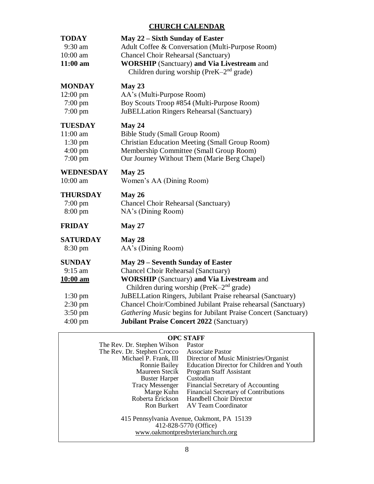### **CHURCH CALENDAR**

| <b>TODAY</b><br>$9:30$ am<br>$10:00$ am<br>$11:00$ am                                                             | May 22 – Sixth Sunday of Easter<br>Adult Coffee & Conversation (Multi-Purpose Room)<br><b>Chancel Choir Rehearsal (Sanctuary)</b><br><b>WORSHIP</b> (Sanctuary) and Via Livestream and<br>Children during worship (PreK-2 <sup>nd</sup> grade)                                                                                                                                                                                  |
|-------------------------------------------------------------------------------------------------------------------|---------------------------------------------------------------------------------------------------------------------------------------------------------------------------------------------------------------------------------------------------------------------------------------------------------------------------------------------------------------------------------------------------------------------------------|
| <b>MONDAY</b>                                                                                                     | May 23                                                                                                                                                                                                                                                                                                                                                                                                                          |
| $12:00 \text{ pm}$                                                                                                | AA's (Multi-Purpose Room)                                                                                                                                                                                                                                                                                                                                                                                                       |
| $7:00 \text{ pm}$                                                                                                 | Boy Scouts Troop #854 (Multi-Purpose Room)                                                                                                                                                                                                                                                                                                                                                                                      |
| $7:00 \text{ pm}$                                                                                                 | JuBELLation Ringers Rehearsal (Sanctuary)                                                                                                                                                                                                                                                                                                                                                                                       |
| <b>TUESDAY</b>                                                                                                    | May 24                                                                                                                                                                                                                                                                                                                                                                                                                          |
| 11:00 am                                                                                                          | <b>Bible Study (Small Group Room)</b>                                                                                                                                                                                                                                                                                                                                                                                           |
| $1:30$ pm                                                                                                         | <b>Christian Education Meeting (Small Group Room)</b>                                                                                                                                                                                                                                                                                                                                                                           |
| $4:00 \text{ pm}$                                                                                                 | Membership Committee (Small Group Room)                                                                                                                                                                                                                                                                                                                                                                                         |
| $7:00 \text{ pm}$                                                                                                 | Our Journey Without Them (Marie Berg Chapel)                                                                                                                                                                                                                                                                                                                                                                                    |
| <b>WEDNESDAY</b>                                                                                                  | May $25$                                                                                                                                                                                                                                                                                                                                                                                                                        |
| $10:00$ am                                                                                                        | Women's AA (Dining Room)                                                                                                                                                                                                                                                                                                                                                                                                        |
| <b>THURSDAY</b>                                                                                                   | May $26$                                                                                                                                                                                                                                                                                                                                                                                                                        |
| $7:00 \text{ pm}$                                                                                                 | Chancel Choir Rehearsal (Sanctuary)                                                                                                                                                                                                                                                                                                                                                                                             |
| $8:00 \text{ pm}$                                                                                                 | NA's (Dining Room)                                                                                                                                                                                                                                                                                                                                                                                                              |
| <b>FRIDAY</b>                                                                                                     | <b>May 27</b>                                                                                                                                                                                                                                                                                                                                                                                                                   |
| <b>SATURDAY</b>                                                                                                   | May 28                                                                                                                                                                                                                                                                                                                                                                                                                          |
| $8:30 \text{ pm}$                                                                                                 | AA's (Dining Room)                                                                                                                                                                                                                                                                                                                                                                                                              |
| <b>SUNDAY</b><br>$9:15$ am<br><u>10:00 am</u><br>$1:30$ pm<br>$2:30 \text{ pm}$<br>$3:50$ pm<br>$4:00 \text{ pm}$ | May 29 – Seventh Sunday of Easter<br>Chancel Choir Rehearsal (Sanctuary)<br><b>WORSHIP</b> (Sanctuary) and Via Livestream and<br>Children during worship ( $PreK-2nd$ grade)<br>JuBELLation Ringers, Jubilant Praise rehearsal (Sanctuary)<br>Chancel Choir/Combined Jubilant Praise rehearsal (Sanctuary)<br>Gathering Music begins for Jubilant Praise Concert (Sanctuary)<br><b>Jubilant Praise Concert 2022 (Sanctuary)</b> |
|                                                                                                                   |                                                                                                                                                                                                                                                                                                                                                                                                                                 |

## **OPC STAFF**

| The Rev. Dr. Stephen Wilson                                                                              | Pastor                                    |
|----------------------------------------------------------------------------------------------------------|-------------------------------------------|
| The Rev. Dr. Stephen Crocco                                                                              | <b>Associate Pastor</b>                   |
| Michael P. Frank, III                                                                                    | Director of Music Ministries/Organist     |
| Ronnie Bailey                                                                                            | Education Director for Children and Youth |
| Maureen Stecik                                                                                           | Program Staff Assistant                   |
| <b>Buster Harper</b>                                                                                     | Custodian                                 |
| <b>Tracy Messenger</b>                                                                                   | Financial Secretary of Accounting         |
| Marge Kuhn                                                                                               | Financial Secretary of Contributions      |
| Roberta Erickson                                                                                         | <b>Handbell Choir Director</b>            |
|                                                                                                          | Ron Burkert AV Team Coordinator           |
| 415 Pennsylvania Avenue, Oakmont, PA 15139<br>412-828-5770 (Office)<br>www.oakmontpresbyterianchurch.org |                                           |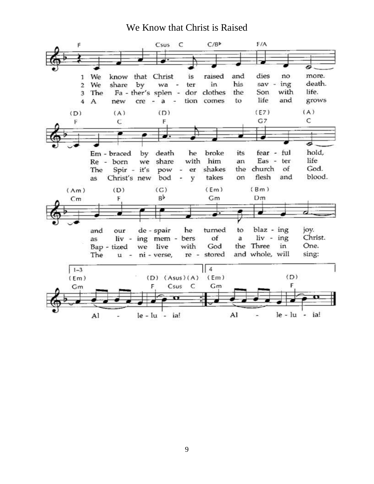# We Know that Christ is Raised